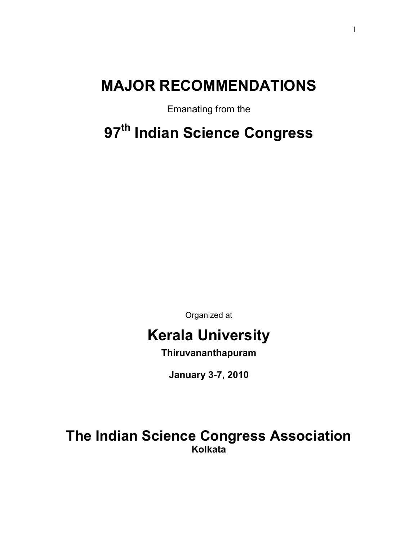# **MAJOR RECOMMENDATIONS**

Emanating from the

# **97th Indian Science Congress**

Organized at

# **Kerala University**

**Thiruvananthapuram** 

**January 3-7, 2010** 

**The Indian Science Congress Association Kolkata**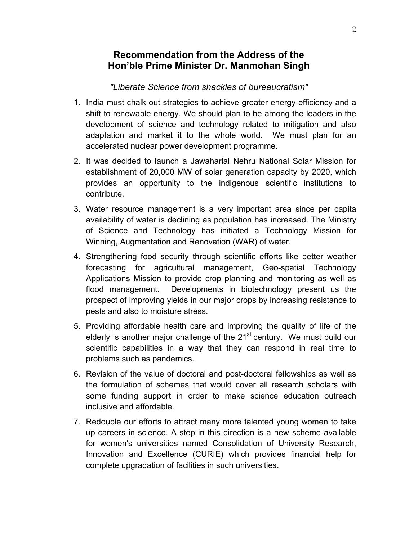# **Recommendation from the Address of the Hon'ble Prime Minister Dr. Manmohan Singh**

#### *"Liberate Science from shackles of bureaucratism"*

- 1. India must chalk out strategies to achieve greater energy efficiency and a shift to renewable energy. We should plan to be among the leaders in the development of science and technology related to mitigation and also adaptation and market it to the whole world. We must plan for an accelerated nuclear power development programme.
- 2. It was decided to launch a Jawaharlal Nehru National Solar Mission for establishment of 20,000 MW of solar generation capacity by 2020, which provides an opportunity to the indigenous scientific institutions to contribute.
- 3. Water resource management is a very important area since per capita availability of water is declining as population has increased. The Ministry of Science and Technology has initiated a Technology Mission for Winning, Augmentation and Renovation (WAR) of water.
- 4. Strengthening food security through scientific efforts like better weather forecasting for agricultural management, Geo-spatial Technology Applications Mission to provide crop planning and monitoring as well as flood management. Developments in biotechnology present us the prospect of improving yields in our major crops by increasing resistance to pests and also to moisture stress.
- 5. Providing affordable health care and improving the quality of life of the elderly is another major challenge of the 21<sup>st</sup> century. We must build our scientific capabilities in a way that they can respond in real time to problems such as pandemics.
- 6. Revision of the value of doctoral and post-doctoral fellowships as well as the formulation of schemes that would cover all research scholars with some funding support in order to make science education outreach inclusive and affordable.
- 7. Redouble our efforts to attract many more talented young women to take up careers in science. A step in this direction is a new scheme available for women's universities named Consolidation of University Research, Innovation and Excellence (CURIE) which provides financial help for complete upgradation of facilities in such universities.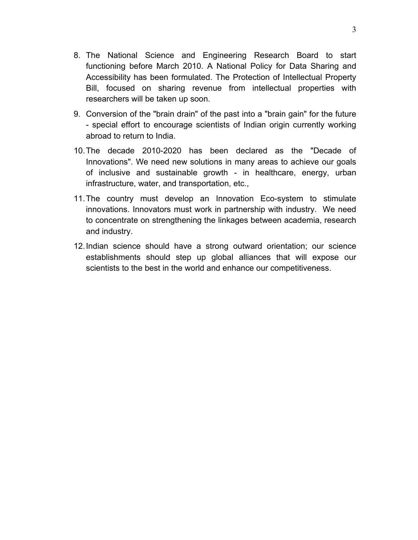- 8. The National Science and Engineering Research Board to start functioning before March 2010. A National Policy for Data Sharing and Accessibility has been formulated. The Protection of Intellectual Property Bill, focused on sharing revenue from intellectual properties with researchers will be taken up soon.
- 9. Conversion of the "brain drain" of the past into a "brain gain" for the future - special effort to encourage scientists of Indian origin currently working abroad to return to India.
- 10. The decade 2010-2020 has been declared as the "Decade of Innovations". We need new solutions in many areas to achieve our goals of inclusive and sustainable growth - in healthcare, energy, urban infrastructure, water, and transportation, etc.,
- 11. The country must develop an Innovation Eco-system to stimulate innovations. Innovators must work in partnership with industry. We need to concentrate on strengthening the linkages between academia, research and industry.
- 12. Indian science should have a strong outward orientation; our science establishments should step up global alliances that will expose our scientists to the best in the world and enhance our competitiveness.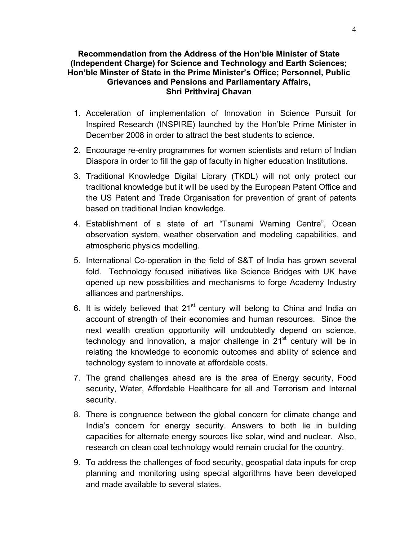#### **Recommendation from the Address of the Hon'ble Minister of State (Independent Charge) for Science and Technology and Earth Sciences; Hon'ble Minster of State in the Prime Minister's Office; Personnel, Public Grievances and Pensions and Parliamentary Affairs, Shri Prithviraj Chavan**

- 1. Acceleration of implementation of Innovation in Science Pursuit for Inspired Research (INSPIRE) launched by the Hon'ble Prime Minister in December 2008 in order to attract the best students to science.
- 2. Encourage re-entry programmes for women scientists and return of Indian Diaspora in order to fill the gap of faculty in higher education Institutions.
- 3. Traditional Knowledge Digital Library (TKDL) will not only protect our traditional knowledge but it will be used by the European Patent Office and the US Patent and Trade Organisation for prevention of grant of patents based on traditional Indian knowledge.
- 4. Establishment of a state of art "Tsunami Warning Centre", Ocean observation system, weather observation and modeling capabilities, and atmospheric physics modelling.
- 5. International Co-operation in the field of S&T of India has grown several fold. Technology focused initiatives like Science Bridges with UK have opened up new possibilities and mechanisms to forge Academy Industry alliances and partnerships.
- 6. It is widely believed that  $21<sup>st</sup>$  century will belong to China and India on account of strength of their economies and human resources. Since the next wealth creation opportunity will undoubtedly depend on science, technology and innovation, a major challenge in  $21<sup>st</sup>$  century will be in relating the knowledge to economic outcomes and ability of science and technology system to innovate at affordable costs.
- 7. The grand challenges ahead are is the area of Energy security, Food security, Water, Affordable Healthcare for all and Terrorism and Internal security.
- 8. There is congruence between the global concern for climate change and India's concern for energy security. Answers to both lie in building capacities for alternate energy sources like solar, wind and nuclear. Also, research on clean coal technology would remain crucial for the country.
- 9. To address the challenges of food security, geospatial data inputs for crop planning and monitoring using special algorithms have been developed and made available to several states.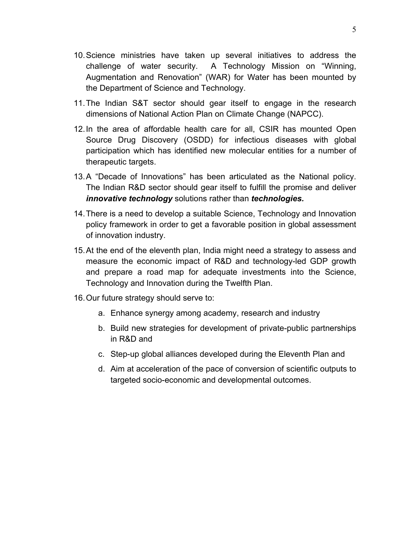- 10. Science ministries have taken up several initiatives to address the challenge of water security. A Technology Mission on "Winning, Augmentation and Renovation" (WAR) for Water has been mounted by the Department of Science and Technology.
- 11. The Indian S&T sector should gear itself to engage in the research dimensions of National Action Plan on Climate Change (NAPCC).
- 12. In the area of affordable health care for all, CSIR has mounted Open Source Drug Discovery (OSDD) for infectious diseases with global participation which has identified new molecular entities for a number of therapeutic targets.
- 13. A "Decade of Innovations" has been articulated as the National policy. The Indian R&D sector should gear itself to fulfill the promise and deliver *innovative technology* solutions rather than *technologies.*
- 14. There is a need to develop a suitable Science, Technology and Innovation policy framework in order to get a favorable position in global assessment of innovation industry.
- 15. At the end of the eleventh plan, India might need a strategy to assess and measure the economic impact of R&D and technology-led GDP growth and prepare a road map for adequate investments into the Science, Technology and Innovation during the Twelfth Plan.
- 16. Our future strategy should serve to:
	- a. Enhance synergy among academy, research and industry
	- b. Build new strategies for development of private-public partnerships in R&D and
	- c. Step-up global alliances developed during the Eleventh Plan and
	- d. Aim at acceleration of the pace of conversion of scientific outputs to targeted socio-economic and developmental outcomes.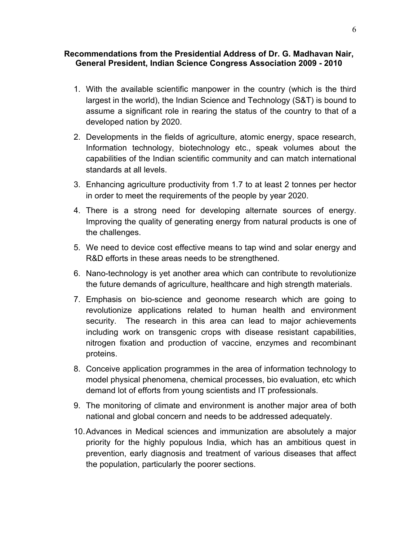#### **Recommendations from the Presidential Address of Dr. G. Madhavan Nair, General President, Indian Science Congress Association 2009 - 2010**

- 1. With the available scientific manpower in the country (which is the third largest in the world), the Indian Science and Technology (S&T) is bound to assume a significant role in rearing the status of the country to that of a developed nation by 2020.
- 2. Developments in the fields of agriculture, atomic energy, space research, Information technology, biotechnology etc., speak volumes about the capabilities of the Indian scientific community and can match international standards at all levels.
- 3. Enhancing agriculture productivity from 1.7 to at least 2 tonnes per hector in order to meet the requirements of the people by year 2020.
- 4. There is a strong need for developing alternate sources of energy. Improving the quality of generating energy from natural products is one of the challenges.
- 5. We need to device cost effective means to tap wind and solar energy and R&D efforts in these areas needs to be strengthened.
- 6. Nano-technology is yet another area which can contribute to revolutionize the future demands of agriculture, healthcare and high strength materials.
- 7. Emphasis on bio-science and geonome research which are going to revolutionize applications related to human health and environment security. The research in this area can lead to major achievements including work on transgenic crops with disease resistant capabilities, nitrogen fixation and production of vaccine, enzymes and recombinant proteins.
- 8. Conceive application programmes in the area of information technology to model physical phenomena, chemical processes, bio evaluation, etc which demand lot of efforts from young scientists and IT professionals.
- 9. The monitoring of climate and environment is another major area of both national and global concern and needs to be addressed adequately.
- 10. Advances in Medical sciences and immunization are absolutely a major priority for the highly populous India, which has an ambitious quest in prevention, early diagnosis and treatment of various diseases that affect the population, particularly the poorer sections.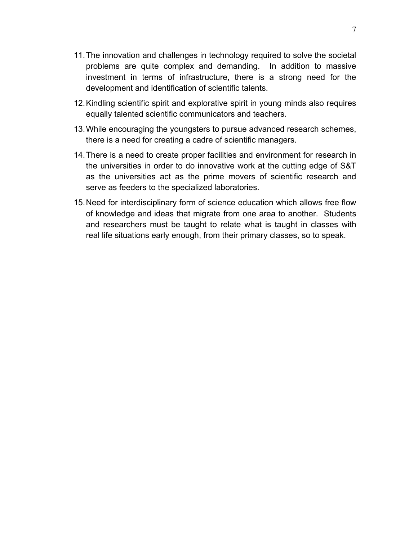- 11. The innovation and challenges in technology required to solve the societal problems are quite complex and demanding. In addition to massive investment in terms of infrastructure, there is a strong need for the development and identification of scientific talents.
- 12. Kindling scientific spirit and explorative spirit in young minds also requires equally talented scientific communicators and teachers.
- 13. While encouraging the youngsters to pursue advanced research schemes, there is a need for creating a cadre of scientific managers.
- 14. There is a need to create proper facilities and environment for research in the universities in order to do innovative work at the cutting edge of S&T as the universities act as the prime movers of scientific research and serve as feeders to the specialized laboratories.
- 15. Need for interdisciplinary form of science education which allows free flow of knowledge and ideas that migrate from one area to another. Students and researchers must be taught to relate what is taught in classes with real life situations early enough, from their primary classes, so to speak.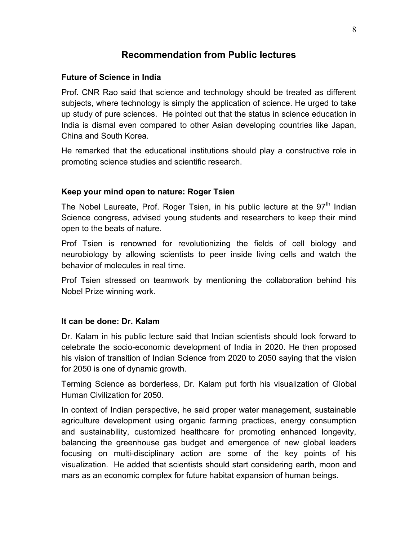# **Recommendation from Public lectures**

#### **Future of Science in India**

Prof. CNR Rao said that science and technology should be treated as different subjects, where technology is simply the application of science. He urged to take up study of pure sciences. He pointed out that the status in science education in India is dismal even compared to other Asian developing countries like Japan, China and South Korea.

He remarked that the educational institutions should play a constructive role in promoting science studies and scientific research.

#### **Keep your mind open to nature: Roger Tsien**

The Nobel Laureate, Prof. Roger Tsien, in his public lecture at the  $97<sup>th</sup>$  Indian Science congress, advised young students and researchers to keep their mind open to the beats of nature.

Prof Tsien is renowned for revolutionizing the fields of cell biology and neurobiology by allowing scientists to peer inside living cells and watch the behavior of molecules in real time.

Prof Tsien stressed on teamwork by mentioning the collaboration behind his Nobel Prize winning work.

#### **It can be done: Dr. Kalam**

Dr. Kalam in his public lecture said that Indian scientists should look forward to celebrate the socio-economic development of India in 2020. He then proposed his vision of transition of Indian Science from 2020 to 2050 saying that the vision for 2050 is one of dynamic growth.

Terming Science as borderless, Dr. Kalam put forth his visualization of Global Human Civilization for 2050.

In context of Indian perspective, he said proper water management, sustainable agriculture development using organic farming practices, energy consumption and sustainability, customized healthcare for promoting enhanced longevity, balancing the greenhouse gas budget and emergence of new global leaders focusing on multi-disciplinary action are some of the key points of his visualization. He added that scientists should start considering earth, moon and mars as an economic complex for future habitat expansion of human beings.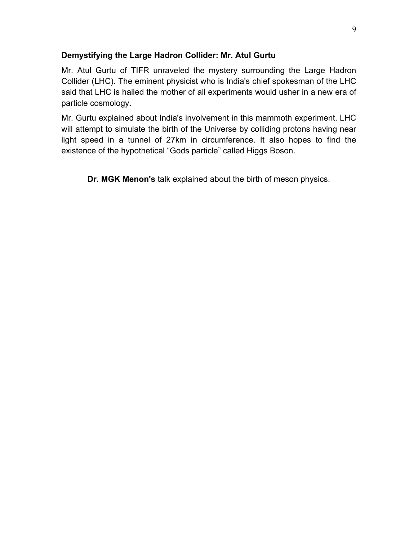#### **Demystifying the Large Hadron Collider: Mr. Atul Gurtu**

Mr. Atul Gurtu of TIFR unraveled the mystery surrounding the Large Hadron Collider (LHC). The eminent physicist who is India's chief spokesman of the LHC said that LHC is hailed the mother of all experiments would usher in a new era of particle cosmology.

Mr. Gurtu explained about India's involvement in this mammoth experiment. LHC will attempt to simulate the birth of the Universe by colliding protons having near light speed in a tunnel of 27km in circumference. It also hopes to find the existence of the hypothetical "Gods particle" called Higgs Boson.

**Dr. MGK Menon's** talk explained about the birth of meson physics.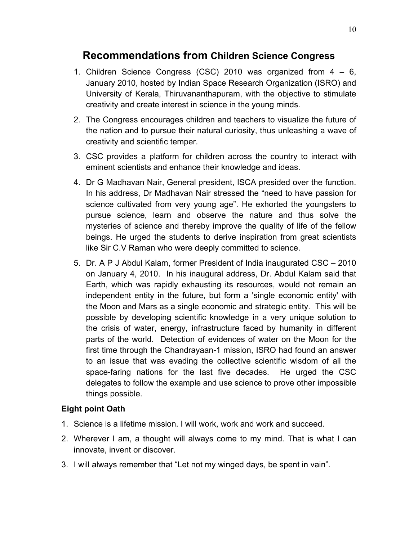# **Recommendations from Children Science Congress**

- 1. Children Science Congress (CSC) 2010 was organized from 4 6, January 2010, hosted by Indian Space Research Organization (ISRO) and University of Kerala, Thiruvananthapuram, with the objective to stimulate creativity and create interest in science in the young minds.
- 2. The Congress encourages children and teachers to visualize the future of the nation and to pursue their natural curiosity, thus unleashing a wave of creativity and scientific temper.
- 3. CSC provides a platform for children across the country to interact with eminent scientists and enhance their knowledge and ideas.
- 4. Dr G Madhavan Nair, General president, ISCA presided over the function. In his address, Dr Madhavan Nair stressed the "need to have passion for science cultivated from very young age". He exhorted the youngsters to pursue science, learn and observe the nature and thus solve the mysteries of science and thereby improve the quality of life of the fellow beings. He urged the students to derive inspiration from great scientists like Sir C.V Raman who were deeply committed to science.
- 5. Dr. A P J Abdul Kalam, former President of India inaugurated CSC 2010 on January 4, 2010. In his inaugural address, Dr. Abdul Kalam said that Earth, which was rapidly exhausting its resources, would not remain an independent entity in the future, but form a 'single economic entity' with the Moon and Mars as a single economic and strategic entity. This will be possible by developing scientific knowledge in a very unique solution to the crisis of water, energy, infrastructure faced by humanity in different parts of the world. Detection of evidences of water on the Moon for the first time through the Chandrayaan-1 mission, ISRO had found an answer to an issue that was evading the collective scientific wisdom of all the space-faring nations for the last five decades. He urged the CSC delegates to follow the example and use science to prove other impossible things possible.

#### **Eight point Oath**

- 1. Science is a lifetime mission. I will work, work and work and succeed.
- 2. Wherever I am, a thought will always come to my mind. That is what I can innovate, invent or discover.
- 3. I will always remember that "Let not my winged days, be spent in vain".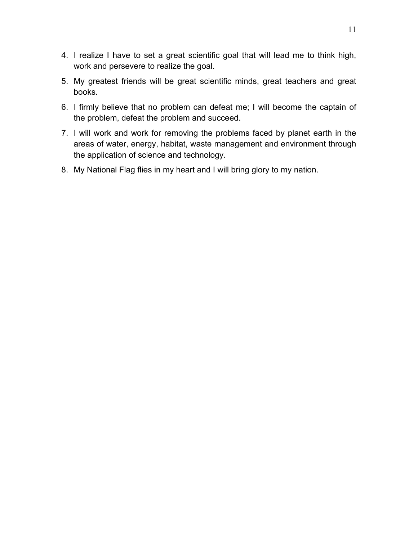- 4. I realize I have to set a great scientific goal that will lead me to think high, work and persevere to realize the goal.
- 5. My greatest friends will be great scientific minds, great teachers and great books.
- 6. I firmly believe that no problem can defeat me; I will become the captain of the problem, defeat the problem and succeed.
- 7. I will work and work for removing the problems faced by planet earth in the areas of water, energy, habitat, waste management and environment through the application of science and technology.
- 8. My National Flag flies in my heart and I will bring glory to my nation.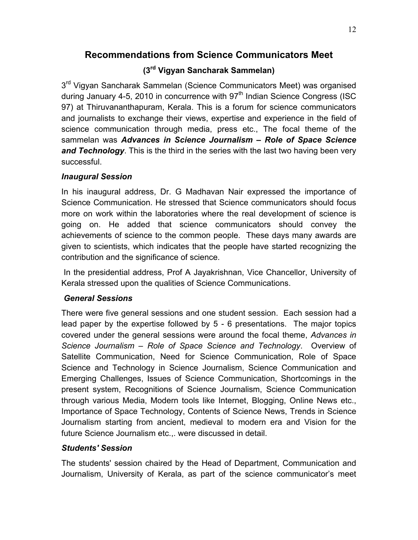# **Recommendations from Science Communicators Meet**

# **(3rd Vigyan Sancharak Sammelan)**

3<sup>rd</sup> Vigyan Sancharak Sammelan (Science Communicators Meet) was organised during January 4-5, 2010 in concurrence with  $97<sup>th</sup>$  Indian Science Congress (ISC 97) at Thiruvananthapuram, Kerala. This is a forum for science communicators and journalists to exchange their views, expertise and experience in the field of science communication through media, press etc., The focal theme of the sammelan was *Advances in Science Journalism – Role of Space Science and Technology*. This is the third in the series with the last two having been very successful.

#### *Inaugural Session*

In his inaugural address, Dr. G Madhavan Nair expressed the importance of Science Communication. He stressed that Science communicators should focus more on work within the laboratories where the real development of science is going on. He added that science communicators should convey the achievements of science to the common people. These days many awards are given to scientists, which indicates that the people have started recognizing the contribution and the significance of science.

 In the presidential address, Prof A Jayakrishnan, Vice Chancellor, University of Kerala stressed upon the qualities of Science Communications.

# *General Sessions*

There were five general sessions and one student session. Each session had a lead paper by the expertise followed by 5 - 6 presentations. The major topics covered under the general sessions were around the focal theme, *Advances in Science Journalism – Role of Space Science and Technology*. Overview of Satellite Communication, Need for Science Communication, Role of Space Science and Technology in Science Journalism, Science Communication and Emerging Challenges, Issues of Science Communication, Shortcomings in the present system, Recognitions of Science Journalism, Science Communication through various Media, Modern tools like Internet, Blogging, Online News etc., Importance of Space Technology, Contents of Science News, Trends in Science Journalism starting from ancient, medieval to modern era and Vision for the future Science Journalism etc.,. were discussed in detail.

# *Students' Session*

The students' session chaired by the Head of Department, Communication and Journalism, University of Kerala, as part of the science communicator's meet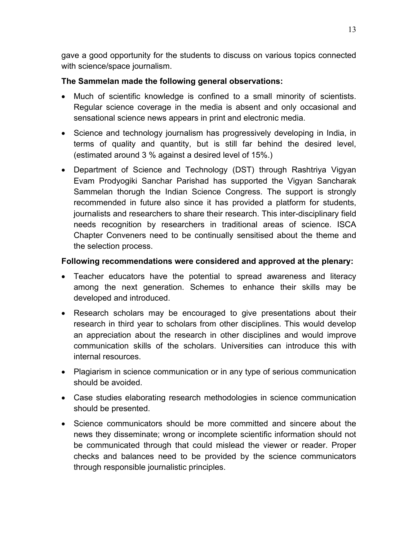gave a good opportunity for the students to discuss on various topics connected with science/space journalism.

#### **The Sammelan made the following general observations:**

- Much of scientific knowledge is confined to a small minority of scientists. Regular science coverage in the media is absent and only occasional and sensational science news appears in print and electronic media.
- Science and technology journalism has progressively developing in India, in terms of quality and quantity, but is still far behind the desired level, (estimated around 3 % against a desired level of 15%.)
- Department of Science and Technology (DST) through Rashtriya Vigyan Evam Prodyogiki Sanchar Parishad has supported the Vigyan Sancharak Sammelan thorugh the Indian Science Congress. The support is strongly recommended in future also since it has provided a platform for students, journalists and researchers to share their research. This inter-disciplinary field needs recognition by researchers in traditional areas of science. ISCA Chapter Conveners need to be continually sensitised about the theme and the selection process.

#### **Following recommendations were considered and approved at the plenary:**

- Teacher educators have the potential to spread awareness and literacy among the next generation. Schemes to enhance their skills may be developed and introduced.
- Research scholars may be encouraged to give presentations about their research in third year to scholars from other disciplines. This would develop an appreciation about the research in other disciplines and would improve communication skills of the scholars. Universities can introduce this with internal resources.
- Plagiarism in science communication or in any type of serious communication should be avoided.
- Case studies elaborating research methodologies in science communication should be presented.
- Science communicators should be more committed and sincere about the news they disseminate; wrong or incomplete scientific information should not be communicated through that could mislead the viewer or reader. Proper checks and balances need to be provided by the science communicators through responsible journalistic principles.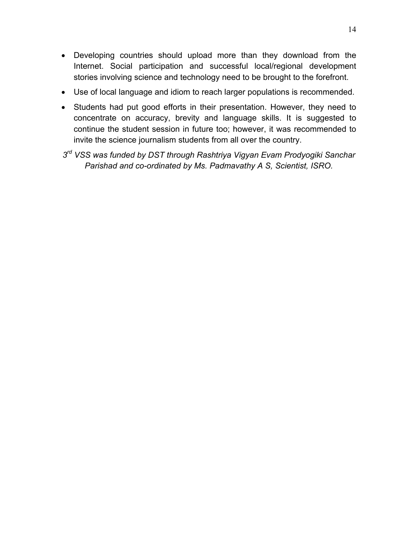- Developing countries should upload more than they download from the Internet. Social participation and successful local/regional development stories involving science and technology need to be brought to the forefront.
- Use of local language and idiom to reach larger populations is recommended.
- Students had put good efforts in their presentation. However, they need to concentrate on accuracy, brevity and language skills. It is suggested to continue the student session in future too; however, it was recommended to invite the science journalism students from all over the country.
- *3rd VSS was funded by DST through Rashtriya Vigyan Evam Prodyogiki Sanchar Parishad and co-ordinated by Ms. Padmavathy A S, Scientist, ISRO.*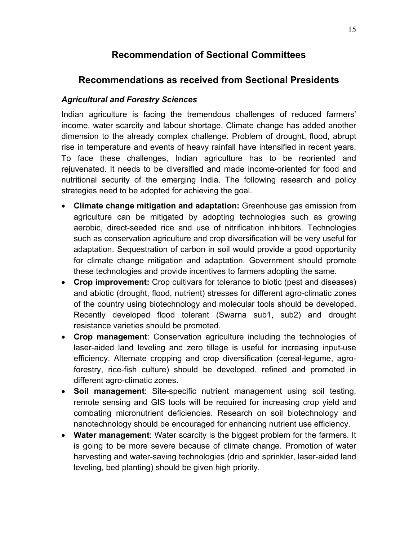# **Recommendation of Sectional Committees**

# **Recommendations as received from Sectional Presidents**

# *Agricultural and Forestry Sciences*

Indian agriculture is facing the tremendous challenges of reduced farmers' income, water scarcity and labour shortage. Climate change has added another dimension to the already complex challenge. Problem of drought, flood, abrupt rise in temperature and events of heavy rainfall have intensified in recent years. To face these challenges, Indian agriculture has to be reoriented and rejuvenated. It needs to be diversified and made income-oriented for food and nutritional security of the emerging India. The following research and policy strategies need to be adopted for achieving the goal.

- **Climate change mitigation and adaptation:** Greenhouse gas emission from agriculture can be mitigated by adopting technologies such as growing aerobic, direct-seeded rice and use of nitrification inhibitors. Technologies such as conservation agriculture and crop diversification will be very useful for adaptation. Sequestration of carbon in soil would provide a good opportunity for climate change mitigation and adaptation. Government should promote these technologies and provide incentives to farmers adopting the same.
- **Crop improvement:** Crop cultivars for tolerance to biotic (pest and diseases) and abiotic (drought, flood, nutrient) stresses for different agro-climatic zones of the country using biotechnology and molecular tools should be developed. Recently developed flood tolerant (Swarna sub1, sub2) and drought resistance varieties should be promoted.
- **Crop management**: Conservation agriculture including the technologies of laser-aided land leveling and zero tillage is useful for increasing input-use efficiency. Alternate cropping and crop diversification (cereal-legume, agroforestry, rice-fish culture) should be developed, refined and promoted in different agro-climatic zones.
- **Soil management**: Site-specific nutrient management using soil testing, remote sensing and GIS tools will be required for increasing crop yield and combating micronutrient deficiencies. Research on soil biotechnology and nanotechnology should be encouraged for enhancing nutrient use efficiency.
- **Water management**: Water scarcity is the biggest problem for the farmers. It is going to be more severe because of climate change. Promotion of water harvesting and water-saving technologies (drip and sprinkler, laser-aided land leveling, bed planting) should be given high priority.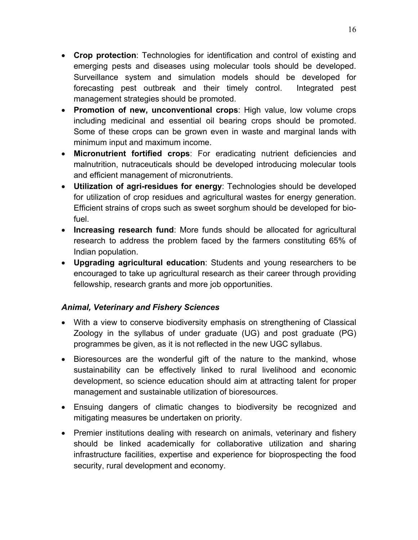- **Crop protection**: Technologies for identification and control of existing and emerging pests and diseases using molecular tools should be developed. Surveillance system and simulation models should be developed for forecasting pest outbreak and their timely control. Integrated pest management strategies should be promoted.
- **Promotion of new, unconventional crops**: High value, low volume crops including medicinal and essential oil bearing crops should be promoted. Some of these crops can be grown even in waste and marginal lands with minimum input and maximum income.
- **Micronutrient fortified crops**: For eradicating nutrient deficiencies and malnutrition, nutraceuticals should be developed introducing molecular tools and efficient management of micronutrients.
- **Utilization of agri-residues for energy**: Technologies should be developed for utilization of crop residues and agricultural wastes for energy generation. Efficient strains of crops such as sweet sorghum should be developed for biofuel.
- **Increasing research fund**: More funds should be allocated for agricultural research to address the problem faced by the farmers constituting 65% of Indian population.
- **Upgrading agricultural education**: Students and young researchers to be encouraged to take up agricultural research as their career through providing fellowship, research grants and more job opportunities.

# *Animal, Veterinary and Fishery Sciences*

- With a view to conserve biodiversity emphasis on strengthening of Classical Zoology in the syllabus of under graduate (UG) and post graduate (PG) programmes be given, as it is not reflected in the new UGC syllabus.
- Bioresources are the wonderful gift of the nature to the mankind, whose sustainability can be effectively linked to rural livelihood and economic development, so science education should aim at attracting talent for proper management and sustainable utilization of bioresources.
- Ensuing dangers of climatic changes to biodiversity be recognized and mitigating measures be undertaken on priority.
- Premier institutions dealing with research on animals, veterinary and fishery should be linked academically for collaborative utilization and sharing infrastructure facilities, expertise and experience for bioprospecting the food security, rural development and economy.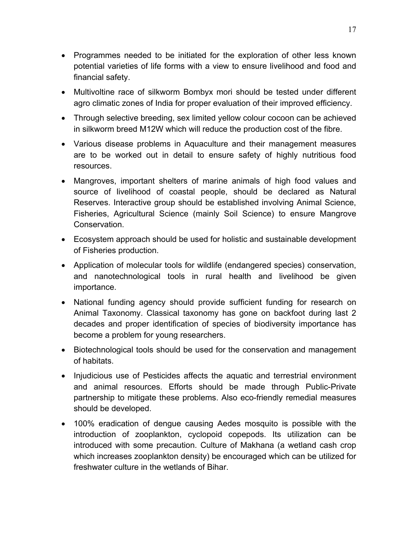- Programmes needed to be initiated for the exploration of other less known potential varieties of life forms with a view to ensure livelihood and food and financial safety.
- Multivoltine race of silkworm Bombyx mori should be tested under different agro climatic zones of India for proper evaluation of their improved efficiency.
- Through selective breeding, sex limited yellow colour cocoon can be achieved in silkworm breed M12W which will reduce the production cost of the fibre.
- Various disease problems in Aquaculture and their management measures are to be worked out in detail to ensure safety of highly nutritious food resources.
- Mangroves, important shelters of marine animals of high food values and source of livelihood of coastal people, should be declared as Natural Reserves. Interactive group should be established involving Animal Science, Fisheries, Agricultural Science (mainly Soil Science) to ensure Mangrove Conservation.
- Ecosystem approach should be used for holistic and sustainable development of Fisheries production.
- Application of molecular tools for wildlife (endangered species) conservation, and nanotechnological tools in rural health and livelihood be given importance.
- National funding agency should provide sufficient funding for research on Animal Taxonomy. Classical taxonomy has gone on backfoot during last 2 decades and proper identification of species of biodiversity importance has become a problem for young researchers.
- Biotechnological tools should be used for the conservation and management of habitats.
- Injudicious use of Pesticides affects the aquatic and terrestrial environment and animal resources. Efforts should be made through Public-Private partnership to mitigate these problems. Also eco-friendly remedial measures should be developed.
- 100% eradication of dengue causing Aedes mosquito is possible with the introduction of zooplankton, cyclopoid copepods. Its utilization can be introduced with some precaution. Culture of Makhana (a wetland cash crop which increases zooplankton density) be encouraged which can be utilized for freshwater culture in the wetlands of Bihar.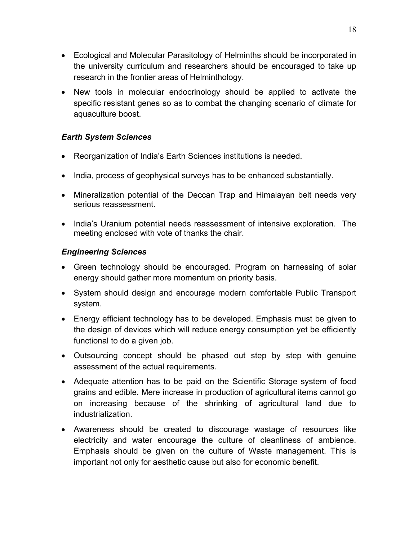- Ecological and Molecular Parasitology of Helminths should be incorporated in the university curriculum and researchers should be encouraged to take up research in the frontier areas of Helminthology.
- New tools in molecular endocrinology should be applied to activate the specific resistant genes so as to combat the changing scenario of climate for aquaculture boost.

#### *Earth System Sciences*

- Reorganization of India's Earth Sciences institutions is needed.
- India, process of geophysical surveys has to be enhanced substantially.
- Mineralization potential of the Deccan Trap and Himalayan belt needs very serious reassessment.
- India's Uranium potential needs reassessment of intensive exploration. The meeting enclosed with vote of thanks the chair.

#### *Engineering Sciences*

- Green technology should be encouraged. Program on harnessing of solar energy should gather more momentum on priority basis.
- System should design and encourage modern comfortable Public Transport system.
- Energy efficient technology has to be developed. Emphasis must be given to the design of devices which will reduce energy consumption yet be efficiently functional to do a given job.
- Outsourcing concept should be phased out step by step with genuine assessment of the actual requirements.
- Adequate attention has to be paid on the Scientific Storage system of food grains and edible. Mere increase in production of agricultural items cannot go on increasing because of the shrinking of agricultural land due to industrialization.
- Awareness should be created to discourage wastage of resources like electricity and water encourage the culture of cleanliness of ambience. Emphasis should be given on the culture of Waste management. This is important not only for aesthetic cause but also for economic benefit.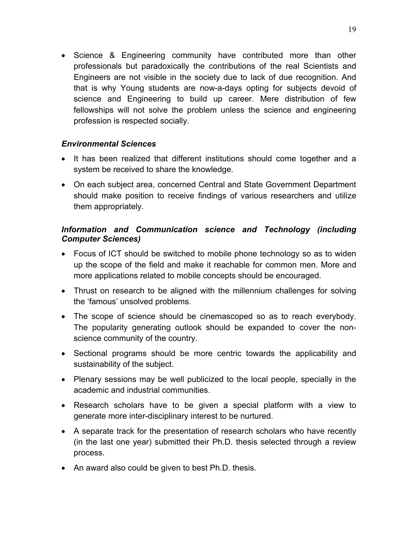• Science & Engineering community have contributed more than other professionals but paradoxically the contributions of the real Scientists and Engineers are not visible in the society due to lack of due recognition. And that is why Young students are now-a-days opting for subjects devoid of science and Engineering to build up career. Mere distribution of few fellowships will not solve the problem unless the science and engineering profession is respected socially.

#### *Environmental Sciences*

- It has been realized that different institutions should come together and a system be received to share the knowledge.
- On each subject area, concerned Central and State Government Department should make position to receive findings of various researchers and utilize them appropriately.

#### *Information and Communication science and Technology (including Computer Sciences)*

- Focus of ICT should be switched to mobile phone technology so as to widen up the scope of the field and make it reachable for common men. More and more applications related to mobile concepts should be encouraged.
- Thrust on research to be aligned with the millennium challenges for solving the 'famous' unsolved problems.
- The scope of science should be cinemascoped so as to reach everybody. The popularity generating outlook should be expanded to cover the nonscience community of the country.
- Sectional programs should be more centric towards the applicability and sustainability of the subject.
- Plenary sessions may be well publicized to the local people, specially in the academic and industrial communities.
- Research scholars have to be given a special platform with a view to generate more inter-disciplinary interest to be nurtured.
- A separate track for the presentation of research scholars who have recently (in the last one year) submitted their Ph.D. thesis selected through a review process.
- An award also could be given to best Ph.D. thesis.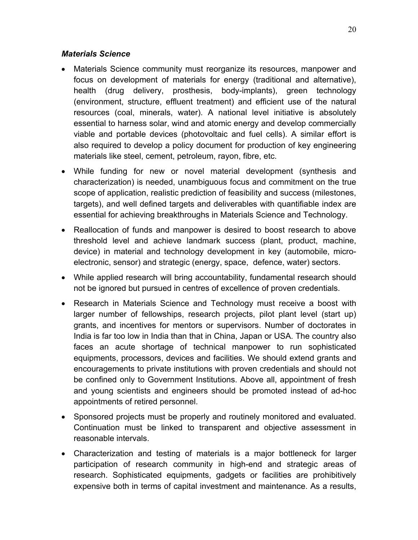#### *Materials Science*

- Materials Science community must reorganize its resources, manpower and focus on development of materials for energy (traditional and alternative), health (drug delivery, prosthesis, body-implants), green technology (environment, structure, effluent treatment) and efficient use of the natural resources (coal, minerals, water). A national level initiative is absolutely essential to harness solar, wind and atomic energy and develop commercially viable and portable devices (photovoltaic and fuel cells). A similar effort is also required to develop a policy document for production of key engineering materials like steel, cement, petroleum, rayon, fibre, etc.
- While funding for new or novel material development (synthesis and characterization) is needed, unambiguous focus and commitment on the true scope of application, realistic prediction of feasibility and success (milestones, targets), and well defined targets and deliverables with quantifiable index are essential for achieving breakthroughs in Materials Science and Technology.
- Reallocation of funds and manpower is desired to boost research to above threshold level and achieve landmark success (plant, product, machine, device) in material and technology development in key (automobile, microelectronic, sensor) and strategic (energy, space, defence, water) sectors.
- While applied research will bring accountability, fundamental research should not be ignored but pursued in centres of excellence of proven credentials.
- Research in Materials Science and Technology must receive a boost with larger number of fellowships, research projects, pilot plant level (start up) grants, and incentives for mentors or supervisors. Number of doctorates in India is far too low in India than that in China, Japan or USA. The country also faces an acute shortage of technical manpower to run sophisticated equipments, processors, devices and facilities. We should extend grants and encouragements to private institutions with proven credentials and should not be confined only to Government Institutions. Above all, appointment of fresh and young scientists and engineers should be promoted instead of ad-hoc appointments of retired personnel.
- Sponsored projects must be properly and routinely monitored and evaluated. Continuation must be linked to transparent and objective assessment in reasonable intervals.
- Characterization and testing of materials is a major bottleneck for larger participation of research community in high-end and strategic areas of research. Sophisticated equipments, gadgets or facilities are prohibitively expensive both in terms of capital investment and maintenance. As a results,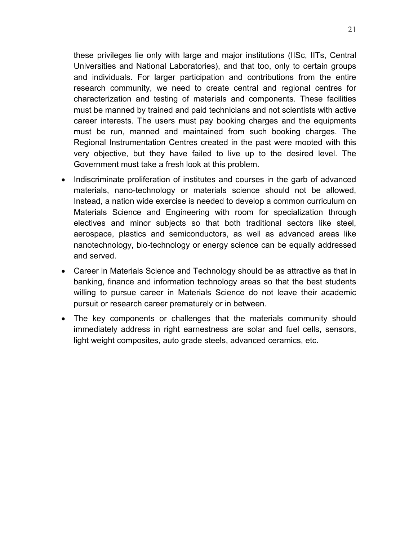these privileges lie only with large and major institutions (IISc, IITs, Central Universities and National Laboratories), and that too, only to certain groups and individuals. For larger participation and contributions from the entire research community, we need to create central and regional centres for characterization and testing of materials and components. These facilities must be manned by trained and paid technicians and not scientists with active career interests. The users must pay booking charges and the equipments must be run, manned and maintained from such booking charges. The Regional Instrumentation Centres created in the past were mooted with this very objective, but they have failed to live up to the desired level. The Government must take a fresh look at this problem.

- Indiscriminate proliferation of institutes and courses in the garb of advanced materials, nano-technology or materials science should not be allowed, Instead, a nation wide exercise is needed to develop a common curriculum on Materials Science and Engineering with room for specialization through electives and minor subjects so that both traditional sectors like steel, aerospace, plastics and semiconductors, as well as advanced areas like nanotechnology, bio-technology or energy science can be equally addressed and served.
- Career in Materials Science and Technology should be as attractive as that in banking, finance and information technology areas so that the best students willing to pursue career in Materials Science do not leave their academic pursuit or research career prematurely or in between.
- The key components or challenges that the materials community should immediately address in right earnestness are solar and fuel cells, sensors, light weight composites, auto grade steels, advanced ceramics, etc.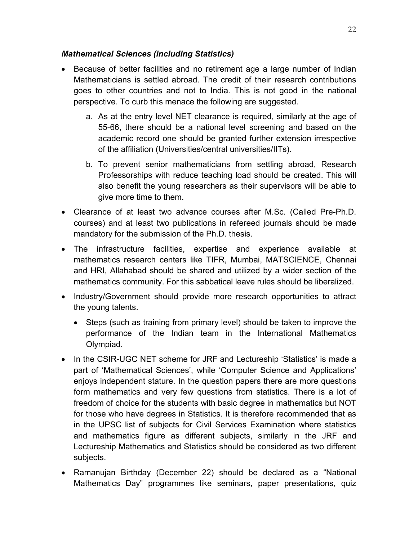#### *Mathematical Sciences (including Statistics)*

- Because of better facilities and no retirement age a large number of Indian Mathematicians is settled abroad. The credit of their research contributions goes to other countries and not to India. This is not good in the national perspective. To curb this menace the following are suggested.
	- a. As at the entry level NET clearance is required, similarly at the age of 55-66, there should be a national level screening and based on the academic record one should be granted further extension irrespective of the affiliation (Universities/central universities/IITs).
	- b. To prevent senior mathematicians from settling abroad, Research Professorships with reduce teaching load should be created. This will also benefit the young researchers as their supervisors will be able to give more time to them.
- Clearance of at least two advance courses after M.Sc. (Called Pre-Ph.D. courses) and at least two publications in refereed journals should be made mandatory for the submission of the Ph.D. thesis.
- The infrastructure facilities, expertise and experience available at mathematics research centers like TIFR, Mumbai, MATSCIENCE, Chennai and HRI, Allahabad should be shared and utilized by a wider section of the mathematics community. For this sabbatical leave rules should be liberalized.
- Industry/Government should provide more research opportunities to attract the young talents.
	- Steps (such as training from primary level) should be taken to improve the performance of the Indian team in the International Mathematics Olympiad.
- In the CSIR-UGC NET scheme for JRF and Lectureship 'Statistics' is made a part of 'Mathematical Sciences', while 'Computer Science and Applications' enjoys independent stature. In the question papers there are more questions form mathematics and very few questions from statistics. There is a lot of freedom of choice for the students with basic degree in mathematics but NOT for those who have degrees in Statistics. It is therefore recommended that as in the UPSC list of subjects for Civil Services Examination where statistics and mathematics figure as different subjects, similarly in the JRF and Lectureship Mathematics and Statistics should be considered as two different subjects.
- Ramanujan Birthday (December 22) should be declared as a "National Mathematics Day" programmes like seminars, paper presentations, quiz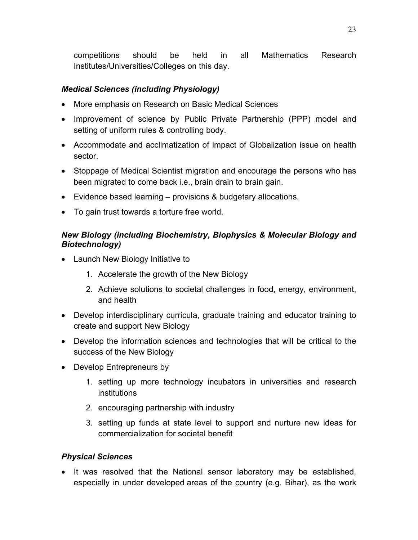competitions should be held in all Mathematics Research Institutes/Universities/Colleges on this day.

#### *Medical Sciences (including Physiology)*

- More emphasis on Research on Basic Medical Sciences
- Improvement of science by Public Private Partnership (PPP) model and setting of uniform rules & controlling body.
- Accommodate and acclimatization of impact of Globalization issue on health sector.
- Stoppage of Medical Scientist migration and encourage the persons who has been migrated to come back i.e., brain drain to brain gain.
- Evidence based learning provisions & budgetary allocations.
- To gain trust towards a torture free world.

#### *New Biology (including Biochemistry, Biophysics & Molecular Biology and Biotechnology)*

- Launch New Biology Initiative to
	- 1. Accelerate the growth of the New Biology
	- 2. Achieve solutions to societal challenges in food, energy, environment, and health
- Develop interdisciplinary curricula, graduate training and educator training to create and support New Biology
- Develop the information sciences and technologies that will be critical to the success of the New Biology
- Develop Entrepreneurs by
	- 1. setting up more technology incubators in universities and research institutions
	- 2. encouraging partnership with industry
	- 3. setting up funds at state level to support and nurture new ideas for commercialization for societal benefit

#### *Physical Sciences*

• It was resolved that the National sensor laboratory may be established, especially in under developed areas of the country (e.g. Bihar), as the work